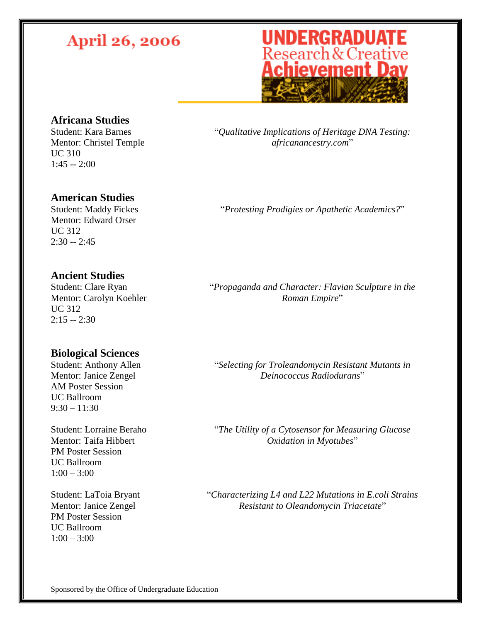## **UNDERGRADUATE**<br>Research & Creative<br>**Achievement Day**

### **Africana Studies**

Student: Kara Barnes Mentor: Christel Temple UC 310  $1:45 - 2:00$ 

"*Qualitative Implications of Heritage DNA Testing: africanancestry.com*"

#### **American Studies**

Student: Maddy Fickes Mentor: Edward Orser UC 312  $2:30 - 2:45$ 

#### **Ancient Studies**

Student: Clare Ryan Mentor: Carolyn Koehler UC 312  $2:15 - 2:30$ 

#### **Biological Sciences**

Student: Anthony Allen Mentor: Janice Zengel AM Poster Session UC Ballroom  $9:30 - 11:30$ 

Student: Lorraine Beraho Mentor: Taifa Hibbert PM Poster Session UC Ballroom  $1:00 - 3:00$ 

Student: LaToia Bryant Mentor: Janice Zengel PM Poster Session UC Ballroom  $1:00 - 3:00$ 

"*Protesting Prodigies or Apathetic Academics?*"

"*Propaganda and Character: Flavian Sculpture in the Roman Empire*"

"*Selecting for Troleandomycin Resistant Mutants in Deinococcus Radiodurans*"

"*The Utility of a Cytosensor for Measuring Glucose Oxidation in Myotubes*"

"*Characterizing L4 and L22 Mutations in E.coli Strains Resistant to Oleandomycin Triacetate*"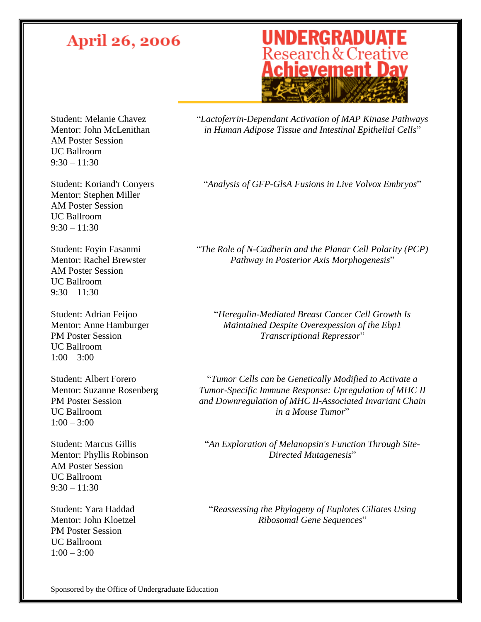## **UNDERGRADUATE**<br>Research & Creative<br>**Achievement Day**

Student: Melanie Chavez Mentor: John McLenithan AM Poster Session UC Ballroom  $9:30 - 11:30$ 

Student: Koriand'r Conyers Mentor: Stephen Miller AM Poster Session UC Ballroom  $9:30 - 11:30$ 

Student: Foyin Fasanmi Mentor: Rachel Brewster AM Poster Session UC Ballroom  $9:30 - 11:30$ 

Student: Adrian Feijoo Mentor: Anne Hamburger PM Poster Session UC Ballroom  $1:00 - 3:00$ 

Student: Albert Forero Mentor: Suzanne Rosenberg PM Poster Session UC Ballroom  $1:00 - 3:00$ 

Student: Marcus Gillis Mentor: Phyllis Robinson AM Poster Session UC Ballroom  $9:30 - 11:30$ 

Student: Yara Haddad Mentor: John Kloetzel PM Poster Session UC Ballroom  $1:00 - 3:00$ 

"*Lactoferrin-Dependant Activation of MAP Kinase Pathways in Human Adipose Tissue and Intestinal Epithelial Cells*"

"*Analysis of GFP-GlsA Fusions in Live Volvox Embryos*"

"*The Role of N-Cadherin and the Planar Cell Polarity (PCP) Pathway in Posterior Axis Morphogenesis*"

"*Heregulin-Mediated Breast Cancer Cell Growth Is Maintained Despite Overexpession of the Ebp1 Transcriptional Repressor*"

"*Tumor Cells can be Genetically Modified to Activate a Tumor-Specific Immune Response: Upregulation of MHC II and Downregulation of MHC II-Associated Invariant Chain in a Mouse Tumor*"

"*An Exploration of Melanopsin's Function Through Site-Directed Mutagenesis*"

"*Reassessing the Phylogeny of Euplotes Ciliates Using Ribosomal Gene Sequences*"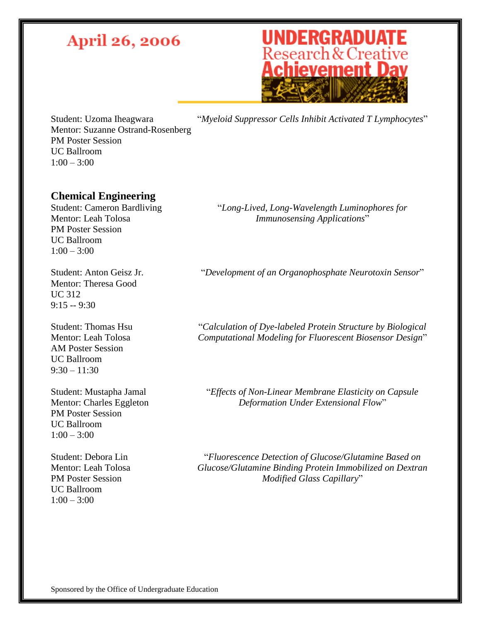# **UNDERGRADUATE**<br>Research & Creative<br>**Achievement Day**

Student: Uzoma Iheagwara Mentor: Suzanne Ostrand-Rosenberg PM Poster Session UC Ballroom  $1:00 - 3:00$ 

"*Myeloid Suppressor Cells Inhibit Activated T Lymphocytes*"

### **Chemical Engineering**

Student: Cameron Bardliving Mentor: Leah Tolosa PM Poster Session UC Ballroom  $1:00 - 3:00$ 

Student: Anton Geisz Jr. Mentor: Theresa Good UC 312  $9:15 - 9:30$ 

Student: Thomas Hsu Mentor: Leah Tolosa AM Poster Session UC Ballroom  $9:30 - 11:30$ 

Student: Mustapha Jamal Mentor: Charles Eggleton PM Poster Session UC Ballroom  $1:00 - 3:00$ 

Student: Debora Lin Mentor: Leah Tolosa PM Poster Session UC Ballroom  $1:00 - 3:00$ 

"*Long-Lived, Long-Wavelength Luminophores for Immunosensing Applications*"

"*Development of an Organophosphate Neurotoxin Sensor*"

"*Calculation of Dye-labeled Protein Structure by Biological Computational Modeling for Fluorescent Biosensor Design*"

"*Effects of Non-Linear Membrane Elasticity on Capsule Deformation Under Extensional Flow*"

"*Fluorescence Detection of Glucose/Glutamine Based on Glucose/Glutamine Binding Protein Immobilized on Dextran Modified Glass Capillary*"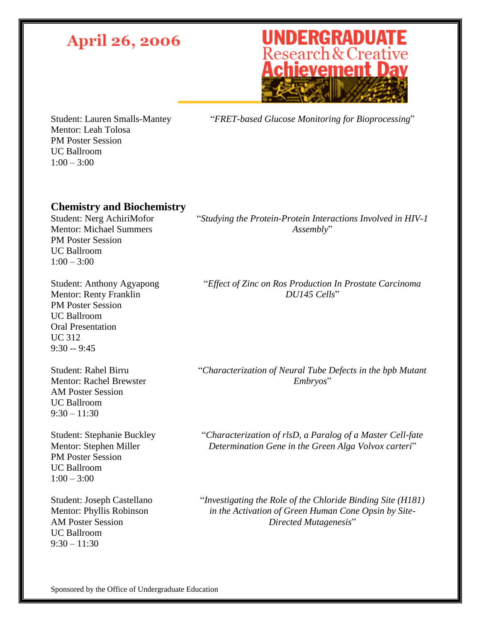# **UNDERGRADUATE**<br>Research & Creative<br>**Achievement Day**

Student: Lauren Smalls-Mantey Mentor: Leah Tolosa PM Poster Session UC Ballroom  $1:00 - 3:00$ 

"*FRET-based Glucose Monitoring for Bioprocessing*"

#### **Chemistry and Biochemistry**

Student: Nerg AchiriMofor Mentor: Michael Summers PM Poster Session UC Ballroom  $1:00 - 3:00$ 

Student: Anthony Agyapong Mentor: Renty Franklin PM Poster Session UC Ballroom Oral Presentation UC 312 9:30 -- 9:45

Student: Rahel Birru Mentor: Rachel Brewster AM Poster Session UC Ballroom  $9:30 - 11:30$ 

Student: Stephanie Buckley Mentor: Stephen Miller PM Poster Session UC Ballroom  $1:00 - 3:00$ 

Student: Joseph Castellano Mentor: Phyllis Robinson AM Poster Session UC Ballroom  $9:30 - 11:30$ 

"*Studying the Protein-Protein Interactions Involved in HIV-1 Assembly*"

"*Effect of Zinc on Ros Production In Prostate Carcinoma DU145 Cells*"

"*Characterization of Neural Tube Defects in the bpb Mutant Embryos*"

"*Characterization of rlsD, a Paralog of a Master Cell-fate Determination Gene in the Green Alga Volvox carteri*"

"*Investigating the Role of the Chloride Binding Site (H181) in the Activation of Green Human Cone Opsin by Site-Directed Mutagenesis*"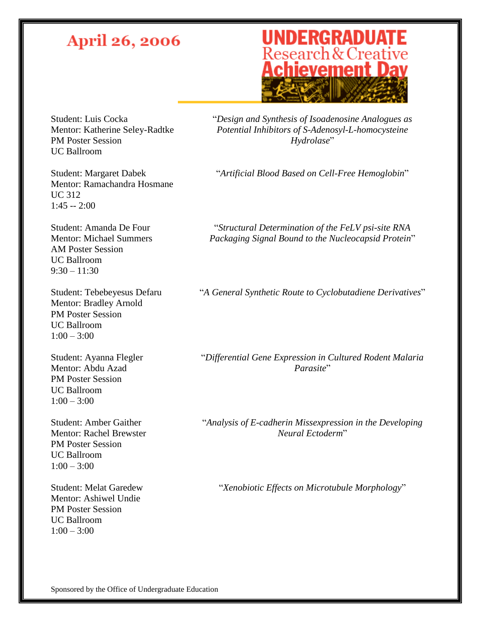## **UNDERGRADUATE**<br>Research & Creative<br>**Achievement Day**

Student: Luis Cocka Mentor: Katherine Seley-Radtke PM Poster Session UC Ballroom

"*Design and Synthesis of Isoadenosine Analogues as Potential Inhibitors of S-Adenosyl-L-homocysteine Hydrolase*"

"*Artificial Blood Based on Cell-Free Hemoglobin*"

Student: Margaret Dabek Mentor: Ramachandra Hosmane UC 312 1:45 -- 2:00

Student: Amanda De Four Mentor: Michael Summers AM Poster Session UC Ballroom  $9:30 - 11:30$ 

Student: Tebebeyesus Defaru Mentor: Bradley Arnold PM Poster Session UC Ballroom  $1:00 - 3:00$ 

Student: Ayanna Flegler Mentor: Abdu Azad PM Poster Session UC Ballroom  $1:00 - 3:00$ 

Student: Amber Gaither Mentor: Rachel Brewster PM Poster Session UC Ballroom  $1:00 - 3:00$ 

Student: Melat Garedew Mentor: Ashiwel Undie PM Poster Session UC Ballroom  $1:00 - 3:00$ 

"*Structural Determination of the FeLV psi-site RNA Packaging Signal Bound to the Nucleocapsid Protein*"

"*A General Synthetic Route to Cyclobutadiene Derivatives*"

"*Differential Gene Expression in Cultured Rodent Malaria Parasite*"

"*Analysis of E-cadherin Missexpression in the Developing Neural Ectoderm*"

"*Xenobiotic Effects on Microtubule Morphology*"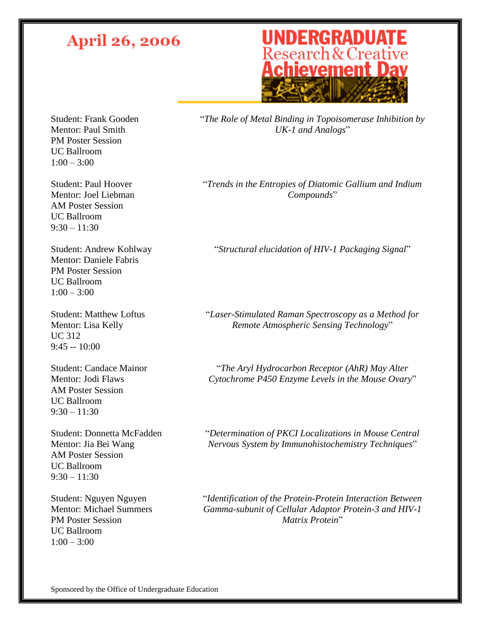## **UNDERGRADUATE**<br>Research & Creative<br>**Achievement Day**

Student: Frank Gooden Mentor: Paul Smith PM Poster Session UC Ballroom  $1:00 - 3:00$ 

Student: Paul Hoover Mentor: Joel Liebman AM Poster Session UC Ballroom  $9:30 - 11:30$ 

Student: Andrew Kohlway Mentor: Daniele Fabris PM Poster Session UC Ballroom  $1:00 - 3:00$ 

Student: Matthew Loftus Mentor: Lisa Kelly UC 312  $9:45 - 10:00$ 

Student: Candace Mainor Mentor: Jodi Flaws AM Poster Session UC Ballroom  $9:30 - 11:30$ 

Student: Donnetta McFadden Mentor: Jia Bei Wang AM Poster Session UC Ballroom  $9:30 - 11:30$ 

Student: Nguyen Nguyen Mentor: Michael Summers PM Poster Session UC Ballroom  $1:00 - 3:00$ 

"*The Role of Metal Binding in Topoisomerase Inhibition by UK-1 and Analogs*"

"*Trends in the Entropies of Diatomic Gallium and Indium Compounds*"

"*Structural elucidation of HIV-1 Packaging Signal*"

"*Laser-Stimulated Raman Spectroscopy as a Method for Remote Atmospheric Sensing Technology*"

"*The Aryl Hydrocarbon Receptor (AhR) May Alter Cytochrome P450 Enzyme Levels in the Mouse Ovary*"

"*Determination of PKCI Localizations in Mouse Central Nervous System by Immunohistochemistry Techniques*"

"*Identification of the Protein-Protein Interaction Between Gamma-subunit of Cellular Adaptor Protein-3 and HIV-1 Matrix Protein*"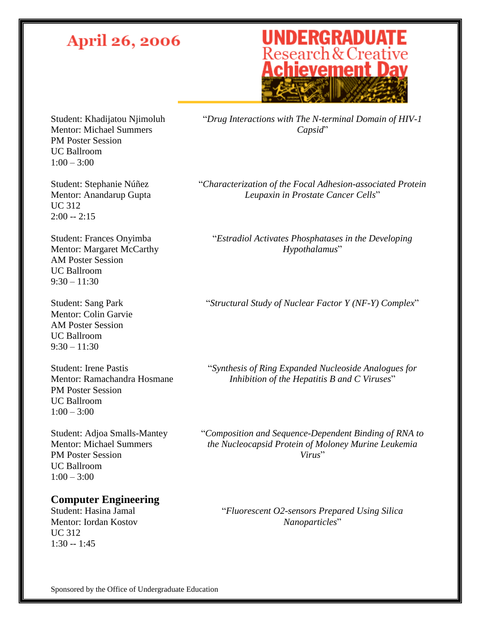## **UNDERGRADUATE**<br>Research & Creative<br>**Achievement Day**

Student: Khadijatou Njimoluh Mentor: Michael Summers PM Poster Session UC Ballroom  $1:00 - 3:00$ 

Student: Stephanie Núñez Mentor: Anandarup Gupta UC 312 2:00 -- 2:15

Student: Frances Onyimba Mentor: Margaret McCarthy AM Poster Session UC Ballroom  $9:30 - 11:30$ 

Student: Sang Park Mentor: Colin Garvie AM Poster Session UC Ballroom  $9:30 - 11:30$ 

Student: Irene Pastis Mentor: Ramachandra Hosmane PM Poster Session UC Ballroom  $1:00 - 3:00$ 

Student: Adjoa Smalls-Mantey Mentor: Michael Summers PM Poster Session UC Ballroom  $1:00 - 3:00$ 

#### **Computer Engineering**

Student: Hasina Jamal Mentor: Iordan Kostov UC 312  $1:30 - 1:45$ 

"*Drug Interactions with The N-terminal Domain of HIV-1 Capsid*"

"*Characterization of the Focal Adhesion-associated Protein Leupaxin in Prostate Cancer Cells*"

"*Estradiol Activates Phosphatases in the Developing Hypothalamus*"

"*Structural Study of Nuclear Factor Y (NF-Y) Complex*"

"*Synthesis of Ring Expanded Nucleoside Analogues for Inhibition of the Hepatitis B and C Viruses*"

"*Composition and Sequence-Dependent Binding of RNA to the Nucleocapsid Protein of Moloney Murine Leukemia Virus*"

"*Fluorescent O2-sensors Prepared Using Silica Nanoparticles*"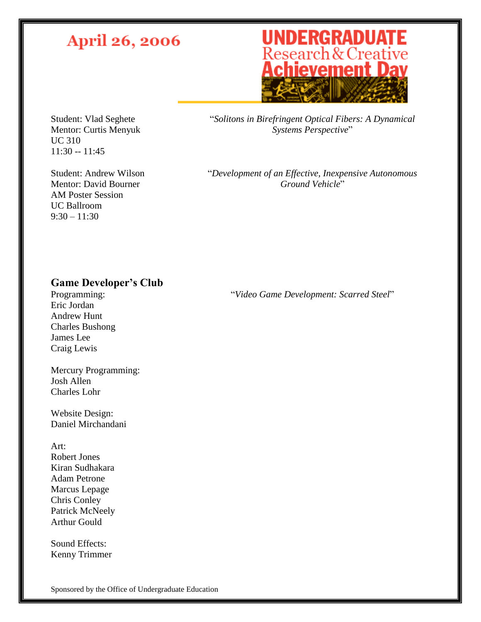## **UNDERGRADUATE**<br>Research & Creative<br>**Achievement Day**

Student: Vlad Seghete Mentor: Curtis Menyuk UC 310 11:30 -- 11:45

Student: Andrew Wilson Mentor: David Bourner AM Poster Session UC Ballroom  $9:30 - 11:30$ 

"*Solitons in Birefringent Optical Fibers: A Dynamical Systems Perspective*"

"*Development of an Effective, Inexpensive Autonomous Ground Vehicle*"

### **Game Developer's Club**

Programming: Eric Jordan Andrew Hunt Charles Bushong James Lee Craig Lewis

Mercury Programming: Josh Allen Charles Lohr

Website Design: Daniel Mirchandani

Art: Robert Jones Kiran Sudhakara Adam Petrone Marcus Lepage Chris Conley Patrick McNeely Arthur Gould

Sound Effects: Kenny Trimmer "*Video Game Development: Scarred Steel*"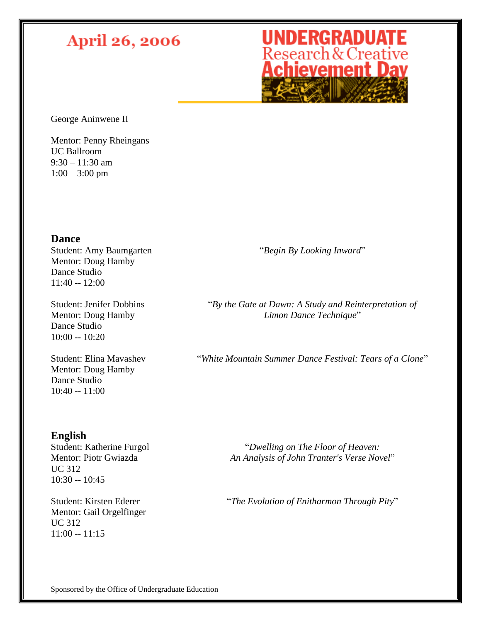## **UNDERGRADUATE**<br>Research & Creative<br>**Achievement Day**

George Aninwene II

Mentor: Penny Rheingans UC Ballroom  $9:30 - 11:30$  am  $1:00 - 3:00$  pm

#### **Dance**

Student: Amy Baumgarten Mentor: Doug Hamby Dance Studio  $11:40 - 12:00$ 

Student: Jenifer Dobbins Mentor: Doug Hamby Dance Studio 10:00 -- 10:20

Student: Elina Mavashev Mentor: Doug Hamby Dance Studio 10:40 -- 11:00

"*Begin By Looking Inward*"

"*By the Gate at Dawn: A Study and Reinterpretation of Limon Dance Technique*"

"*White Mountain Summer Dance Festival: Tears of a Clone*"

### **English**

Student: Katherine Furgol Mentor: Piotr Gwiazda UC 312 10:30 -- 10:45

Student: Kirsten Ederer Mentor: Gail Orgelfinger UC 312 11:00 -- 11:15

"*Dwelling on The Floor of Heaven: An Analysis of John Tranter's Verse Novel*"

"*The Evolution of Enitharmon Through Pity*"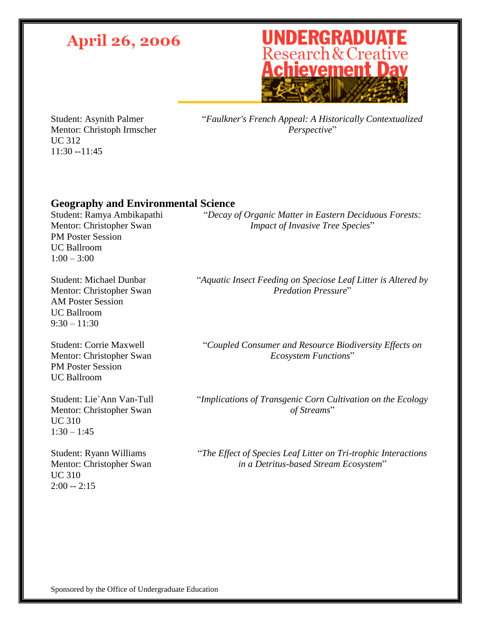# **UNDERGRADUATE**<br>Research & Creative<br>**Achievement Day**

Student: Asynith Palmer Mentor: Christoph Irmscher UC 312 11:30 --11:45

"*Faulkner's French Appeal: A Historically Contextualized Perspective*"

### **Geography and Environmental Science**

Student: Ramya Ambikapathi Mentor: Christopher Swan PM Poster Session UC Ballroom  $1:00 - 3:00$ 

Student: Michael Dunbar Mentor: Christopher Swan AM Poster Session UC Ballroom  $9:30 - 11:30$ 

Student: Corrie Maxwell Mentor: Christopher Swan PM Poster Session UC Ballroom

Student: Lie`Ann Van-Tull Mentor: Christopher Swan UC 310  $1:30 - 1:45$ 

Student: Ryann Williams Mentor: Christopher Swan UC 310  $2:00 - 2:15$ 

"*Decay of Organic Matter in Eastern Deciduous Forests: Impact of Invasive Tree Species*"

"*Aquatic Insect Feeding on Speciose Leaf Litter is Altered by Predation Pressure*"

"*Coupled Consumer and Resource Biodiversity Effects on Ecosystem Functions*"

"*Implications of Transgenic Corn Cultivation on the Ecology of Streams*"

"*The Effect of Species Leaf Litter on Tri-trophic Interactions in a Detritus-based Stream Ecosystem*"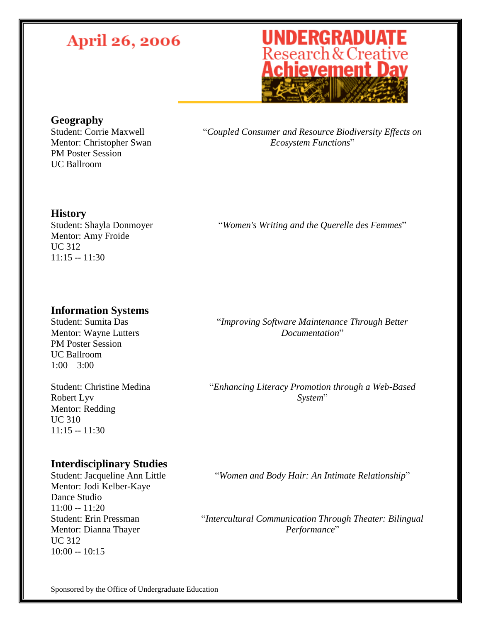## **UNDERGRADUATE**<br>Research & Creative<br>**Achievement Day**

#### **Geography**

Student: Corrie Maxwell Mentor: Christopher Swan PM Poster Session UC Ballroom

"*Coupled Consumer and Resource Biodiversity Effects on Ecosystem Functions*"

#### **History**

Student: Shayla Donmoyer Mentor: Amy Froide UC 312 11:15 -- 11:30

"*Women's Writing and the Querelle des Femmes*"

#### **Information Systems**

Student: Sumita Das Mentor: Wayne Lutters PM Poster Session UC Ballroom  $1:00 - 3:00$ 

Student: Christine Medina Robert Lyv Mentor: Redding UC 310 11:15 -- 11:30

"*Improving Software Maintenance Through Better Documentation*"

"*Enhancing Literacy Promotion through a Web-Based System*"

#### **Interdisciplinary Studies**

Student: Jacqueline Ann Little Mentor: Jodi Kelber-Kaye Dance Studio  $11:00 - 11:20$ Student: Erin Pressman Mentor: Dianna Thayer UC 312  $10:00 - 10:15$ 

"*Women and Body Hair: An Intimate Relationship*"

"*Intercultural Communication Through Theater: Bilingual Performance*"

Sponsored by the Office of Undergraduate Education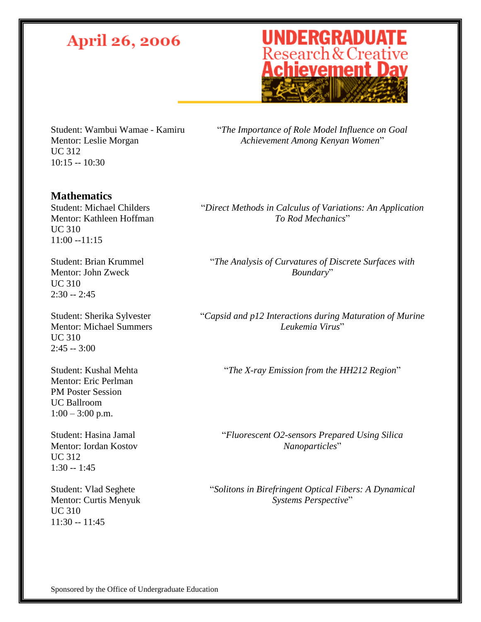# **UNDERGRADUATE**<br>Research & Creative<br>**Achievement Day**

Student: Wambui Wamae - Kamiru Mentor: Leslie Morgan UC 312 10:15 -- 10:30

"*The Importance of Role Model Influence on Goal Achievement Among Kenyan Women*"

#### **Mathematics**

Student: Michael Childers Mentor: Kathleen Hoffman UC 310 11:00 --11:15

Student: Brian Krummel Mentor: John Zweck UC 310 2:30 -- 2:45

Student: Sherika Sylvester Mentor: Michael Summers UC 310  $2:45 - 3:00$ 

Student: Kushal Mehta Mentor: Eric Perlman PM Poster Session UC Ballroom  $1:00 - 3:00$  p.m.

Student: Hasina Jamal Mentor: Iordan Kostov UC 312  $1:30 - 1:45$ 

Student: Vlad Seghete Mentor: Curtis Menyuk UC 310 11:30 -- 11:45

"*Direct Methods in Calculus of Variations: An Application To Rod Mechanics*"

"*The Analysis of Curvatures of Discrete Surfaces with Boundary*"

"*Capsid and p12 Interactions during Maturation of Murine Leukemia Virus*"

"*The X-ray Emission from the HH212 Region*"

"*Fluorescent O2-sensors Prepared Using Silica Nanoparticles*"

"*Solitons in Birefringent Optical Fibers: A Dynamical Systems Perspective*"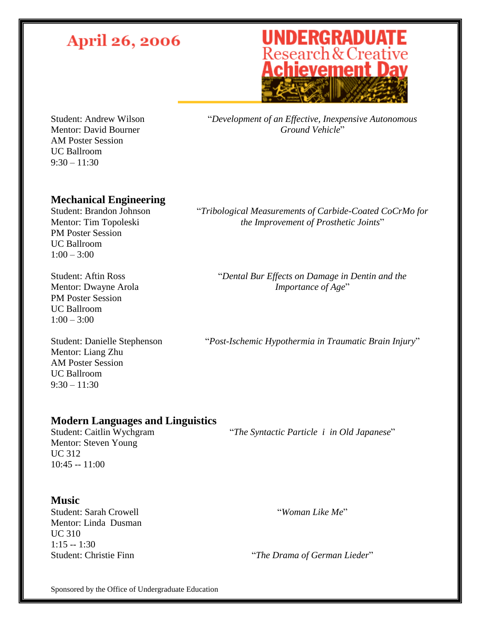## **UNDERGRADUATE**<br>Research & Creative<br>**Achievement Day**

Student: Andrew Wilson Mentor: David Bourner AM Poster Session UC Ballroom  $9:30 - 11:30$ 

"*Development of an Effective, Inexpensive Autonomous Ground Vehicle*"

"*Tribological Measurements of Carbide-Coated CoCrMo for the Improvement of Prosthetic Joints*"

### **Mechanical Engineering**

Student: Brandon Johnson Mentor: Tim Topoleski PM Poster Session UC Ballroom  $1:00 - 3:00$ 

Student: Aftin Ross Mentor: Dwayne Arola PM Poster Session UC Ballroom  $1:00 - 3:00$ 

Student: Danielle Stephenson Mentor: Liang Zhu AM Poster Session UC Ballroom  $9:30 - 11:30$ 

"*Post-Ischemic Hypothermia in Traumatic Brain Injury*"

"*Dental Bur Effects on Damage in Dentin and the Importance of Age*"

### **Modern Languages and Linguistics**

Student: Caitlin Wychgram Mentor: Steven Young UC 312  $10:45 - 11:00$ 

"*The Syntactic Particle i in Old Japanese*"

#### **Music**

Student: Sarah Crowell Mentor: Linda Dusman UC 310 1:15 -- 1:30

Student: Christie Finn "*The Drama of German Lieder*"

"*Woman Like Me*"

Sponsored by the Office of Undergraduate Education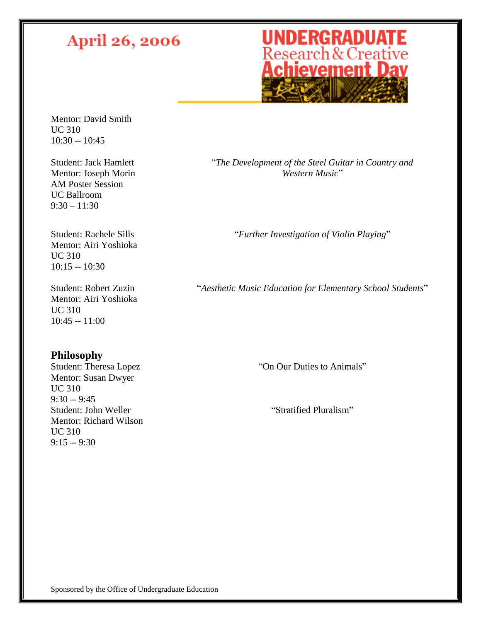## **UNDERGRADUATE**<br>Research & Creative<br>**Achievement Day**

Mentor: David Smith UC 310 10:30 -- 10:45

Student: Jack Hamlett Mentor: Joseph Morin AM Poster Session UC Ballroom  $9:30 - 11:30$ 

Student: Rachele Sills Mentor: Airi Yoshioka UC 310 10:15 -- 10:30

Student: Robert Zuzin Mentor: Airi Yoshioka UC 310 10:45 -- 11:00

### **Philosophy**

Student: Theresa Lopez Mentor: Susan Dwyer UC 310 9:30 -- 9:45 Student: John Weller Mentor: Richard Wilson UC 310 9:15 -- 9:30

"*The Development of the Steel Guitar in Country and Western Music*"

"*Further Investigation of Violin Playing*"

"*Aesthetic Music Education for Elementary School Students*"

"On Our Duties to Animals"

"Stratified Pluralism"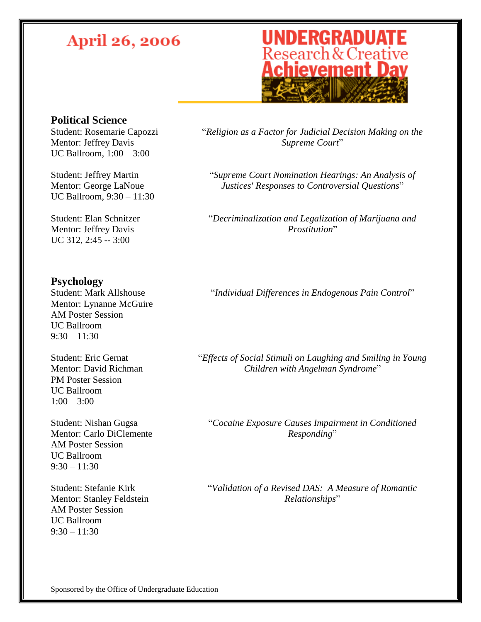## **UNDERGRADUATE**<br>Research & Creative<br>**Achievement Day**

### **Political Science**

Student: Rosemarie Capozzi Mentor: Jeffrey Davis UC Ballroom, 1:00 – 3:00

Student: Jeffrey Martin Mentor: George LaNoue UC Ballroom, 9:30 – 11:30

Student: Elan Schnitzer Mentor: Jeffrey Davis UC 312, 2:45 -- 3:00

### **Psychology**

Student: Mark Allshouse Mentor: Lynanne McGuire AM Poster Session UC Ballroom  $9:30 - 11:30$ 

Student: Eric Gernat Mentor: David Richman PM Poster Session UC Ballroom  $1:00 - 3:00$ 

Student: Nishan Gugsa Mentor: Carlo DiClemente AM Poster Session UC Ballroom  $9:30 - 11:30$ 

Student: Stefanie Kirk Mentor: Stanley Feldstein AM Poster Session UC Ballroom  $9:30 - 11:30$ 

"*Religion as a Factor for Judicial Decision Making on the Supreme Court*"

"*Supreme Court Nomination Hearings: An Analysis of Justices' Responses to Controversial Questions*"

"*Decriminalization and Legalization of Marijuana and Prostitution*"

"*Individual Differences in Endogenous Pain Control*"

"*Effects of Social Stimuli on Laughing and Smiling in Young Children with Angelman Syndrome*"

"*Cocaine Exposure Causes Impairment in Conditioned Responding*"

"*Validation of a Revised DAS: A Measure of Romantic Relationships*"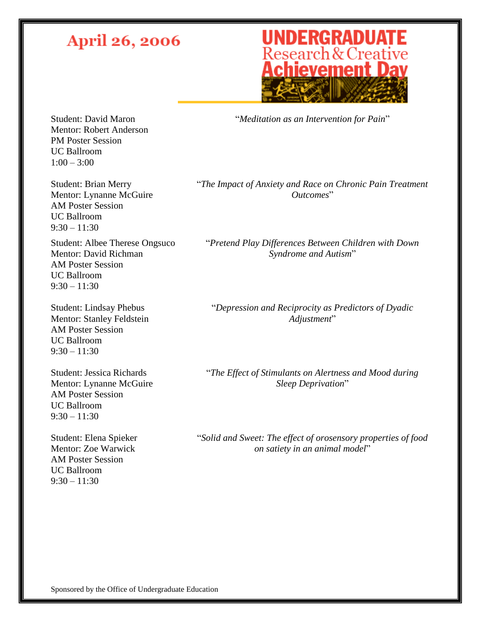## **UNDERGRADUATE**<br>Research & Creative<br>**Achievement Day**

"*Meditation as an Intervention for Pain*"

Student: David Maron Mentor: Robert Anderson PM Poster Session UC Ballroom  $1:00 - 3:00$ 

Student: Brian Merry Mentor: Lynanne McGuire AM Poster Session UC Ballroom  $9:30 - 11:30$ 

Student: Albee Therese Ongsuco Mentor: David Richman AM Poster Session UC Ballroom  $9:30 - 11:30$ 

Student: Lindsay Phebus Mentor: Stanley Feldstein AM Poster Session UC Ballroom  $9:30 - 11:30$ 

Student: Jessica Richards Mentor: Lynanne McGuire AM Poster Session UC Ballroom  $9:30 - 11:30$ 

Student: Elena Spieker Mentor: Zoe Warwick AM Poster Session UC Ballroom  $9:30 - 11:30$ 

"*The Impact of Anxiety and Race on Chronic Pain Treatment Outcomes*"

"*Pretend Play Differences Between Children with Down Syndrome and Autism*"

"*Depression and Reciprocity as Predictors of Dyadic Adjustment*"

"*The Effect of Stimulants on Alertness and Mood during Sleep Deprivation*"

"*Solid and Sweet: The effect of orosensory properties of food on satiety in an animal model*"